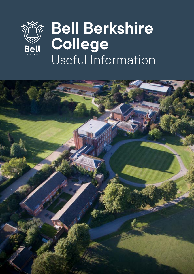

# **Bell Berkshire College** Useful Information

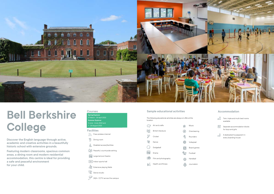**Discover the English language through active, academic and creative activities in a beautifully historic school with extensive grounds.** 

**Featuring modern classrooms, spacious common areas, a dining room and modern residential accommodation, this centre is ideal for providing a safe and peaceful environment for your child.** 



# **Bell Berkshire College**

#### **Courses**

 $\overbrace{\text{max}}^{\textcircled{\textcircled{\tiny{1}}}}$  Twin, triple and multi-bed rooms available



| <b>Spring Explorer</b>   |
|--------------------------|
| 27 March - 30 April 2022 |
| <b>Summer Explorer</b>   |
| 5 June - 2July 2022 and  |
| 7 - 20 August 2022       |

A dedicated houseparent in every boarding house

The following educational. activities are always on offer at this location:

> Separate accommodation blocks for boys and girls



| $\widehat{\mathcal{L}}$ | Art and crafts            | Music        |
|-------------------------|---------------------------|--------------|
| BF.                     | <b>British literature</b> | Orienteering |
|                         | Cricket                   | Rounders     |
| ्र<br>भू                | Dance                     | Volleyball   |
| Ă                       | Dodgeball                 | Board games  |
|                         | Drama                     | Football     |
|                         | Film and photography      | Handball     |
|                         | Health and fitness        | Journalism   |



#### **Facilities**

- $\sum$ Free wireless internet
- $\P$ Dining room
- ᢤ Disabled access/facilities
- **44** Peaceful, countryside setting
- Large lecture theatre
- **DOU** Indoor sports hall
- Extensive playing fields
- ් Dance studio

 $24$ /hr CCTV across the campus

### **Sample educational activities Accommodation**